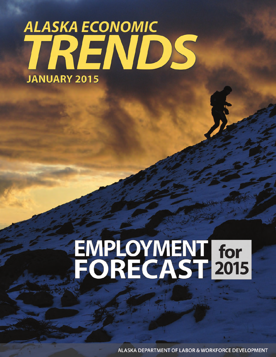# ALASKA ECONOMIC<br>TRENDS **JANUARY 2015**

# EMPLOYMENT for<br>FORECAST 2015

**ALASKA DEPARTMENT OF LABOR & WORKFORCE DEVELOPMENT**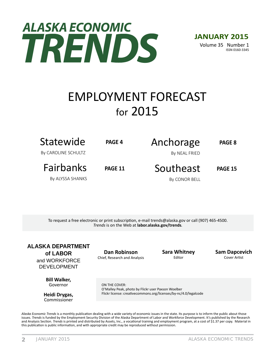# **ALASKA ECONOMIC** TRENDS

**JANUARY 2015** Volume 35 Number 1 ISSN 0160-3345

# EMPLOYMENT FORECAST for 2015

| Statewide<br>By CAROLINE SCHULTZ | PAGE 4         | Anchorage<br>By NEAL FRIED | PAGE 8         |
|----------------------------------|----------------|----------------------------|----------------|
| <b>Fairbanks</b>                 | <b>PAGE 11</b> | Southeast                  | <b>PAGE 15</b> |
| By ALYSSA SHANKS                 |                | By CONOR BELL              |                |

To request a free electronic or print subscription, e-mail trends@alaska.gov or call (907) 465-4500. *Trends* is on the Web at **labor.alaska.gov/trends***.* 

**ALASKA DEPARTMENT of LABOR** and WORKFORCE DEVELOPMENT

> **Bill Walker,** Governor

**Heidi Drygas,** Commissioner

**Dan Robinson** Chief, Research and Analysis **Sara Whitney** Editor

**Sam Dapcevich** Cover Artist

ON THE COVER: O'Malley Peak, photo by Flickr user Paxson Woelber Flickr license: creativecommons.org/licenses/by-nc/4.0/legalcode

Alaska Economic Trends is a monthly publication dealing with a wide variety of economic issues in the state. Its purpose is to inform the public about those issues. *Trends* is funded by the Employment Security Division of the Alaska Department of Labor and Workforce Development. It's published by the Research and Analysis Section. *Trends* is printed and distributed by Assets, Inc., a vocational training and employment program, at a cost of \$1.37 per copy. Material in this publication is public information, and with appropriate credit may be reproduced without permission.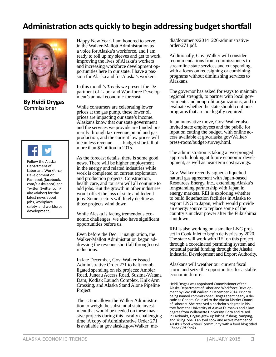#### Administration acts quickly to begin addressing budget shortfall



#### **By Heidi Drygas** Commissioner



Follow the Alaska Department of Labor and Workforce Development on Facebook (facebook. com/alaskalabor) and Twitter (twitter.com/ alaskalabor) for the latest news about jobs, workplace safety, and workforce development.

Happy New Year! I am honored to serve in the Walker-Mallott Administration as a voice for Alaska's workforce, and I am ready to roll up my sleeves and get to work improving the lives of Alaska's workers and increasing workforce development opportunities here in our state. I have a passion for Alaska and for Alaska's workers.

In this month's *Trends* we present the Department of Labor and Workforce Development's annual economic forecast.

While consumers are celebrating lower prices at the gas pump, these lower oil prices are impacting our state's income. Alaskans know that our state government and the services we provide are funded primarily through tax revenue on oil and gas production, and the current low prices will mean less revenue — a budget shortfall of more than \$3 billion in 2015.

As the forecast details, there is some good news. There will be higher employment in the energy and related industries while work is completed on current exploration and production projects. Construction, health care, and tourism will all continue to add jobs. But the growth in other industries won't offset the loss of state and federal jobs. Some sectors will likely decline as those projects wind down.

While Alaska is facing tremendous economic challenges, we also have significant opportunities before us.

Even before the Dec. 1 inauguration, the Walker-Mallott Administration began addressing the revenue shortfall through cost reductions.

In late December, Gov. Walker issued Administrative Order 271 to halt nonobligated spending on six projects: Ambler Road, Juneau Access Road, Susitna-Watana Dam, Kodiak Launch Complex, Knik Arm Crossing, and Alaska Stand Alone Pipeline Project.

The action allows the Walker Administration to weigh the substantial state investment that would be needed on these massive projects during this fiscally challenging time. A copy of Administrative Order 271 is available at gov.alaska.gov/Walker\_media/documents/20141226-administrativeorder-271.pdf.

Additionally, Gov. Walker will consider recommendations from commissioners to streamline state services and cut spending, with a focus on redesigning or combining programs without diminishing services to Alaskans.

The governor has asked for ways to maintain regional strength, to partner with local governments and nonprofit organizations, and to evaluate whether the state should continue programs that are not legally required.

In an innovative move, Gov. Walker also invited state employees and the public for input on cutting the budget, with online access available at gov.alaska.gov/Walker/ press-room/budget-survey.html.

The administration is taking a two-pronged approach: looking at future economic development, as well as near-term cost savings.

Gov. Walker recently signed a liquefied natural gas agreement with Japan-based Resources Energy, Inc., extending Alaska's longstanding partnership with Japan in energy markets. REI is exploring whether to build liquefaction facilities in Alaska to export LNG to Japan, which would provide an energy source to replace some of the country's nuclear power after the Fukushima shutdown.

REI is also working on a smaller LNG project in Cook Inlet to begin deliveries by 2020. The state will work with REI on this project through a coordinated permitting system and potential partial funding through the Alaska Industrial Development and Export Authority.

Alaskans will weather our current fiscal storm and seize the opportunities for a stable economic future.

Heidi Drygas was appointed Commissioner of the Alaska Department of Labor and Workforce Development by Gov. Bill Walker in December 2014. Prior to being named commissioner, Drygas spent nearly a decade as General Counsel to the Alaska District Council of Laborers. She received a bachelor's degree in history from the University of Alaska Fairbanks and a law degree from Willamette University. Born and raised in Fairbanks, Drygas grew up hiking, fishing, camping, and skiing. She is an avid cook and active member of Alaska's food writers' community with a food blog titled *Chena Girl Cooks.*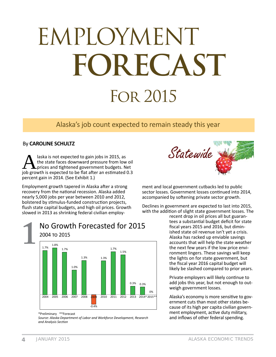# EMPLOYMENT FORECAST **FOR 2015**

#### Alaska's job count expected to remain steady this year

#### By CAROLINE SCHULTZ

laska is not expected to gain jobs in 2015, as the state faces downward pressure from low oil prices and tightened government budgets. Net job growth is expected to be flat after an estimated 0.3 percent gain in 2014. (See Exhibit 1.)

Employment growth tapered in Alaska after a strong recovery from the national recession. Alaska added nearly 5,000 jobs per year between 2010 and 2012, bolstered by stimulus-funded construction projects. flush state capital budgets, and high oil prices. Growth slowed in 2013 as shrinking federal civilian employ-



# No Growth Forecasted for 2015

\*Preliminary \*\*Forecast

Source: Alaska Department of Labor and Workforce Development, Research and Analysis Section



ment and local government cutbacks led to public sector losses. Government losses continued into 2014, accompanied by softening private sector growth.

Declines in government are expected to last into 2015, with the addition of slight state government losses. The

recent drop in oil prices all but guarantees a substantial budget deficit for state fiscal years 2015 and 2016, but diminished state oil revenue isn't yet a crisis. Alaska has racked up enviable savings accounts that will help the state weather the next few years if the low price environment lingers. These savings will keep the lights on for state government, but the fiscal year 2016 capital budget will likely be slashed compared to prior years.

Private employers will likely continue to add jobs this year, but not enough to outweigh government losses.

Alaska's economy is more sensitive to government cuts than most other states because of its high per capita civilian government employment, active duty military, and inflows of other federal spending.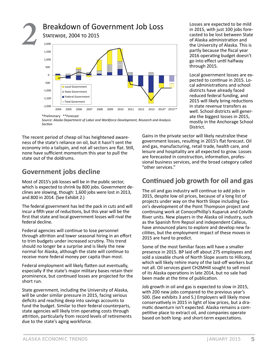

*Source: Alaska Department of Labor and Workforce Development, Research and Analysis SecƟ on*

The recent period of cheap oil has heightened awareness of the state's reliance on oil, but it hasn't sent the economy into a tailspin, and not all sectors are flat. Still, none have sufficient momentum this year to pull the state out of the doldrums.

#### **Government jobs decline**

Most of 2015's job losses will be in the public sector, which is expected to shrink by 800 jobs. Government declines are slowing, though: 1,600 jobs were lost in 2013, and 800 in 2014. (See Exhibit 2.)

The federal government has led the pack in cuts and will incur a fifth year of reductions, but this year will be the first that state and local government losses will rival the federal decline.

Federal agencies will continue to lose personnel through attrition and lower seasonal hiring in an effort to trim budgets under increased scrutiny. This trend should no longer be a surprise and is likely the new normal for Alaska, although the state will continue to receive more federal money per capita than most.

Federal employment will likely flatten out eventually, especially if the state's major military bases retain their prominence, but continued losses are projected for the short run.

State government, including the University of Alaska, will be under similar pressure in 2015, facing serious deficits and reaching deep into savings accounts to fund the budget. Similar to their federal counterparts, state agencies will likely trim operating costs through attrition, particularly from record levels of retirements due to the state's aging workforce.

Losses are expected to be mild in 2015, with just 100 jobs forecasted to be lost between State of Alaska administration and the University of Alaska. This is partly because the fiscal year 2016 operating budget doesn't go into effect until halfway through 2015.

Local government losses are expected to continue in 2015. Local administrations and school districts have already faced reduced federal funding, and 2015 will likely bring reductions in state revenue transfers as well. School districts will generate the biggest losses in 2015, mostly in the Anchorage School District.

Gains in the private sector will likely neutralize these government losses, resulting in 2015's flat forecast. Oil and gas, manufacturing, retail trade, health care, and leisure and hospitality are all expected to grow. Losses are forecasted in construction, information, professional business services, and the broad category called "other services."

#### **ConƟ nued job growth for oil and gas**

The oil and gas industry will continue to add jobs in 2015, despite low oil prices, because of a long list of projects under way on the North Slope including Exxon's development of the Point Thompson project and continuing work at ConocoPhillip's Kuparuk and Colville River units. New players in the Alaska oil industry, such as the Spanish firm Repsol and independent Calleus, have announced plans to explore and develop new facilities, but the employment impact of these moves in 2015 are hard to predict.

Some of the most familiar faces will have a smaller presence in 2015. BP laid off about 275 employees and sold a sizeable chunk of North Slope assets to Hillcorp, which will likely rehire many of the laid-off workers but not all. Oil services giant CH2MHill sought to sell most of its Alaska operations in late 2014, but no sale had been made at the time of publication.

Job growth in oil and gas is expected to slow in 2015, with 200 new jobs compared to the previous year's 500. (See exhibits 3 and 5.) Employers will likely move conservatively in 2015 in light of low prices, but a dramatic downturn isn't expected. Alaska remains a competitive place to extract oil, and companies operate based on both long- and short-term expectations.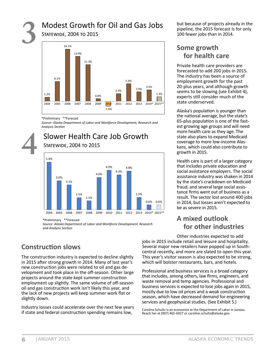# **3** Modest Growth for Oil and Gas Jobs





\*Preliminary \*\*Forecast

*Source: Alaska Department of Labor and Workforce Development, Research and Analysis SecƟ on*

#### **4** Slower Health Care Job Growth STATEWIDE, 2004 TO 2015



\*Preliminary \*\*Forecast

*Source: Alaska Department of Labor and Workforce Development, Research and Analysis SecƟ on*

#### **Construction slows**

The construction industry is expected to decline slightly in 2015 after strong growth in 2014. Many of last year's new construction jobs were related to oil and gas development and took place in the off-season. Other large projects around the state kept summer construction employment up slightly. The same volume of off -season oil and gas construction work isn't likely this year, and the lack of new projects will keep summer work flat or slightly down.

Industry losses could accelerate over the next few years if state and federal construction spending remains low,

but because of projects already in the pipeline, the 2015 forecast is for only 100 fewer jobs than in 2014.

#### **Some growth for health care**

Private health care providers are forecasted to add 200 jobs in 2015. The industry has been a source of employment growth for the past 20-plus years, and although growth seems to be slowing (see Exhibit 4), experts still consider much of the state underserved.

Alaska's population is younger than the national average, but the state's 65-plus population is one of the fastest growing age groups and will need more health care as they age. The state also plans to expand Medicaid coverage to more low-income Alaskans, which could also contribute to growth in 2015.

Health care is part of a larger category that includes private education and social assistance employers. The social assistance industry was shaken in 2014 by the state's crackdown on Medicaid fraud, and several large social assistance firms went out of business as a result. The sector lost around 400 jobs in 2014, but losses aren't expected to be as severe in 2015.

#### **A mixed outlook for other industries**

Other industries expected to add jobs in 2015 include retail and leisure and hospitality. Several major new retailers have popped up in Southcentral recently, and more are slated to open this year. This year's visitor season is also expected to be strong, which will bolster restaurants, bars, and hotels.

Professional and business services is a broad category that includes, among others, law firms, engineers, and waste removal and temp agencies. Professional and business services is expected to lose jobs again in 2015, mostly due to low oil prices and a weak construction season, which have decreased demand for engineering services and geophysical studies. (See Exhibit 5.)

Caroline Schultz is an economist at the Department of Labor in Juneau. Reach her at (907) 465-6027 or caroline.schultz@alaska.gov.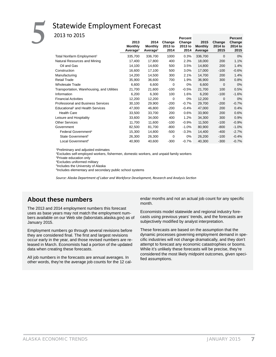# Statewide Employment Forecast<br><sup>2013</sup><sup>TO</sup> <sup>2015</sup>

|                                              |                      |                      |          | <b>Percent</b> |                |          | <b>Percent</b> |
|----------------------------------------------|----------------------|----------------------|----------|----------------|----------------|----------|----------------|
|                                              | 2013                 | 2014                 | Change   | Change         | 2015           | Change   | Change         |
|                                              | <b>Monthly</b>       | <b>Monthly</b>       | 2013 to  | 2013 to        | <b>Monthly</b> | 2014 to  | 2014 to        |
|                                              | Average <sup>1</sup> | Average <sup>1</sup> | 2014     | 2014           | Average        | 2015     | 2015           |
| Total Nonfarm Employment <sup>2</sup>        | 335,700              | 336,700              | 1000     | 0.3%           | 336,700        | 0        | $0\%$          |
| Natural Resources and Mining                 | 17,400               | 17,800               | 400      | 2.3%           | 18,000         | 200      | 1.1%           |
| Oil and Gas                                  | 14,100               | 14,600               | 500      | 3.5%           | 14,800         | 200      | 1.4%           |
| Construction                                 | 16,600               | 17,100               | 500      | 3.0%           | 17,000         | $-100$   | $-0.6%$        |
| Manufacturing                                | 14,200               | 14,500               | 300      | 2.1%           | 14,700         | 200      | 1.4%           |
| <b>Retail Trade</b>                          | 35,900               | 36,600               | 700      | 1.9%           | 36,900         | 300      | 0.8%           |
| <b>Wholesale Trade</b>                       | 6,600                | 6,600                | 0        | 0%             | 6,600          | 0        | $0\%$          |
| Transportation, Warehousing, and Utilities   | 21,700               | 21,600               | $-100$   | $-0.5%$        | 21,700         | 100      | 0.5%           |
| Information                                  | 6,200                | 6,300                | 100      | 1.6%           | 6,200          | $-100$   | $-1.6%$        |
| <b>Financial Activities</b>                  | 12,200               | 12,200               | $\Omega$ | 0%             | 12,200         | $\Omega$ | $0\%$          |
| <b>Professional and Business Services</b>    | 30,100               | 29,900               | $-200$   | $-0.7%$        | 29,700         | $-200$   | $-0.7%$        |
| Educational <sup>3</sup> and Health Services | 47,000               | 46,800               | $-200$   | $-0.4%$        | 47,000         | 200      | 0.4%           |
| <b>Health Care</b>                           | 33,500               | 33,700               | 200      | 0.6%           | 33,900         | 200      | 0.6%           |
| Leisure and Hospitality                      | 33,600               | 34,000               | 400      | 1.2%           | 34,300         | 300      | 0.9%           |
| <b>Other Services</b>                        | 11,700               | 11,600               | $-100$   | $-0.9%$        | 11,500         | $-100$   | $-0.9%$        |
| Government                                   | 82,500               | 81,700               | $-800$   | $-1.0%$        | 80,900         | $-800$   | $-1.0%$        |
| Federal Government <sup>4</sup>              | 15,300               | 14,800               | $-500$   | $-3.3%$        | 14,400         | $-400$   | $-2.7%$        |
| State Government <sup>5</sup>                | 26,300               | 26,300               | 0        | $0\%$          | 26,200         | $-100$   | $-0.4%$        |
| Local Government <sup>6</sup>                | 40,900               | 40,600               | $-300$   | $-0.7%$        | 40,300         | $-300$   | $-0.7%$        |
|                                              |                      |                      |          |                |                |          |                |

1 Preliminary and adjusted estimates

<sup>2</sup>Excludes self-employed workers, fishermen, domestic workers, and unpaid family workers

3 Private education only

4 Excludes uniformed military

5 Includes the University of Alaska

6 Includes elementary and secondary public school systems

*Source: Alaska Department of Labor and Workforce Development, Research and Analysis Section* 

#### **About these numbers**

The 2013 and 2014 employment numbers this forecast uses as base years may not match the employment numbers available on our Web site (laborstats.alaska.gov) as of January 2015.

Employment numbers go through several revisions before they are considered final. The first and largest revisions occur early in the year, and those revised numbers are released in March. Economists had a portion of the updated data when creating these forecasts.

All job numbers in the forecasts are annual averages. In other words, they're the average job counts for the 12 cal-

endar months and not an actual job count for any specific month.

Economists model statewide and regional industry forecasts using previous years' trends, and the forecasts are subjectively modified by analyst interpretation.

These forecasts are based on the assumption that the dynamic processes governing employment demand in specific industries will not change dramatically, and they don't attempt to forecast any economic catastrophies or booms. While it's unlikely these forecasts will be precise, they're considered the most likely midpoint outcomes, given specified assumptions.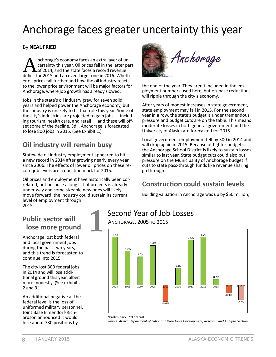# Anchorage faces greater uncertainty this year

#### **By NEAL FRIED**

nchorage's economy faces an extra layer of uncertainty this year. Oil prices fell in the latter part of 2014, and the state faces a record revenue deficit for 2015 and an even larger one in 2016. Whether oil prices fall further and how the oil industry reacts to the lower price environment will be major factors for Anchorage, where job growth has already slowed.

Jobs in the state's oil industry grew for seven solid years and helped power the Anchorage economy, but the industry is unlikely to fill that role this year. Some of the city's industries are projected to gain jobs  $-$  including tourism, health care, and retail - and these will offset some of the decline. Still, Anchorage is forecasted to lose 800 jobs in 2015. (See Exhibit 1.)

#### Oil industry will remain busy

Statewide oil industry employment appeared to hit a new record in 2014 after growing nearly every year since 2006. The effects of lower oil prices on these record job levels are a question mark for 2015.

Oil prices and employment have historically been correlated, but because a long list of projects is already under way and some sizeable new ones will likely move forward, the industry could sustain its current level of employment through 2015.



the end of the year. They aren't included in the employment numbers used here, but on-base reductions will ripple through the city's economy.

After vears of modest increases in state government. state employment may fall in 2015. For the second year in a row, the state's budget is under tremendous pressure and budget cuts are on the table. This means moderate losses in both general government and the University of Alaska are forecasted for 2015.

Local government employment fell by 300 in 2014 and will drop again in 2015. Because of tighter budgets, the Anchorage School District is likely to sustain losses similar to last year. State budget cuts could also put pressure on the Municipality of Anchorage budget if cuts to state pass-through funds like revenue sharing go through.

#### **Construction could sustain levels**

Building valuation in Anchorage was up by \$50 million,

#### **Public sector will** lose more ground

Anchorage lost both federal and local government jobs during the past two years, and this trend is forecasted to continue into 2015.

The city lost 300 federal jobs in 2014 and will lose additional ground this year, albeit more modestly. (See exhibits  $2$  and  $3$ .)

An additional negative at the federal level is the loss of uniformed military personnel. Joint Base Elmendorf-Richardson announced it would lose about 780 positions by

### Second Year of Job Losses

ANCHORAGE, 2005 TO 2015



#### \*Preliminary \*\*Forecast

Source: Alaska Department of Labor and Workforce Development, Research and Analysis Section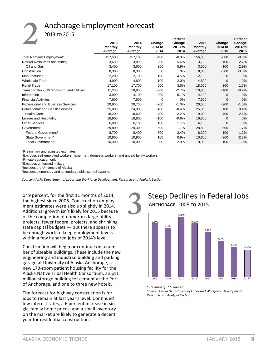### **Anchorage Employment Forecast**

2013 то 2015

|                                              | 2013<br><b>Monthly</b><br>Average <sup>1</sup> | 2014<br><b>Monthly</b><br>Average <sup>1</sup> | Change<br>2013 to<br>2014 | Percent<br>Change<br>2013 to<br>2014 | 2015<br><b>Monthly</b><br>Average | Change<br>2014 to<br>2015 | Percent<br>Change<br>2014 to<br>2015 |
|----------------------------------------------|------------------------------------------------|------------------------------------------------|---------------------------|--------------------------------------|-----------------------------------|---------------------------|--------------------------------------|
| Total Nonfarm Employment <sup>2</sup>        | 157,500                                        | 157,100                                        | $-400$                    | $-0.3%$                              | 156,300                           | $-800$                    | $-0.5%$                              |
| Natural Resources and Mining                 | 3,600                                          | 3,800                                          | 200                       | 5.6%                                 | 3,700                             | $-100$                    | $-2.7%$                              |
| Oil and Gas                                  | 3,400                                          | 3,600                                          | 200                       | 5.9%                                 | 3,500                             | $-100$                    | $-2.9%$                              |
| Construction                                 | 8,300                                          | 8,300                                          | 0                         | 0%                                   | 8,000                             | $-300$                    | $-3.8%$                              |
| Manufacturing                                | 2,200                                          | 2,100                                          | $-100$                    | $-4.5%$                              | 2,100                             | 0                         | $0\%$                                |
| Wholesale Trade                              | 4,900                                          | 4,800                                          | $-100$                    | $-2.0%$                              | 4,800                             | 0                         | $0\%$                                |
| <b>Retail Trade</b>                          | 17,100                                         | 17,700                                         | 600                       | 3.5%                                 | 18,000                            | 300                       | 1.7%                                 |
| Transportation, Warehousing, and Utilities   | 11,200                                         | 10,900                                         | $-300$                    | $-2.7%$                              | 10,800                            | $-100$                    | $-0.9%$                              |
| Information                                  | 3,900                                          | 4,100                                          | 200                       | 5.1%                                 | 4,100                             | 0                         | $0\%$                                |
| <b>Financial Activities</b>                  | 7,600                                          | 7,600                                          | 0                         | $0\%$                                | 7,600                             | 0                         | $0\%$                                |
| <b>Professional and Business Services</b>    | 20,900                                         | 20,700                                         | $-200$                    | $-1.0%$                              | 20,500                            | $-200$                    | $-1.0%$                              |
| Educational <sup>3</sup> and Health Services | 25,000                                         | 24,900                                         | $-100$                    | $-0.4%$                              | 25,000                            | 100                       | 0.4%                                 |
| <b>Health Care</b>                           | 18,200                                         | 18,600                                         | 400                       | 2.2%                                 | 19,000                            | 400                       | 2.1%                                 |
| Leisure and Hospitality                      | 16,900                                         | 16,800                                         | $-100$                    | $-0.6%$                              | 16,800                            | $\Omega$                  | 0%                                   |
| <b>Other Services</b>                        | 6,000                                          | 6,100                                          | 100                       | 1.7%                                 | 6,100                             | $\mathbf 0$               | $0\%$                                |
| Government                                   | 29,800                                         | 29,300                                         | $-500$                    | $-1.7%$                              | 28,800                            | $-500$                    | $-1.7%$                              |
| Federal Government <sup>4</sup>              | 8,700                                          | 8,400                                          | $-300$                    | $-3.4%$                              | 8,300                             | $-100$                    | $-1.2%$                              |
| State Government <sup>5</sup>                | 10,800                                         | 10,900                                         | 100                       | 0.9%                                 | 10,600                            | $-300$                    | $-2.8%$                              |
| Local Government <sup>6</sup>                | 10,300                                         | 10,000                                         | $-300$                    | $-2.9%$                              | 9,900                             | $-100$                    | $-1.0%$                              |

<sup>1</sup>Preliminary and adjusted estimates

<sup>2</sup>Excludes self-employed workers, fishermen, domestic workers, and unpaid family workers

<sup>3</sup>Private education only

<sup>4</sup>Excludes uniformed military

<sup>5</sup>Includes the University of Alaska

<sup>6</sup>Includes elementary and secondary public school systems

Source: Alaska Department of Labor and Workforce Development, Research and Analysis Section

or 9 percent, for the first 11 months of 2014, the highest since 2006. Construction employment estimates were also up slightly in 2014. Additional growth isn't likely for 2015 because of the completion of numerous large utility projects, fewer federal projects, and shrinking state capital budgets  $-$  but there appears to be enough work to keep employment levels within a few hundred jobs of 2014's level.

Construction will begin or continue on a number of sizeable buildings. These include the new engineering and industrial building and parking garage at University of Alaska Anchorage, a new 170-room patient housing facility for the Alaska Native Tribal Health Consortium, an \$11 million storage building for cement at the Port of Anchorage, and one to three new hotels.

The forecast for highway construction is for jobs to remain at last year's level. Continued low interest rates, a 6 percent increase in single-family home prices, and a small inventory on the market are likely to generate a decent year for residential construction.

#### **Steep Declines in Federal Jobs** ANCHORAGE, 2008 TO 2015



\*Preliminary \*\*Forecast Source: Alaska Department of Labor and Workforce Development, Research and Analysis Section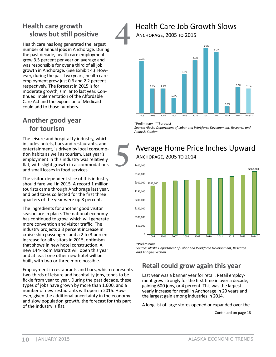#### **Health care growth** slows but still positive

Health care has long generated the largest number of annual jobs in Anchorage. During the past decade, health care employment grew 3.5 percent per year on average and was responsible for over a third of all job growth in Anchorage. (See Exhibit 4.) However, during the past two years, health care employment grew just 0.6 and 2.2 percent respectively. The forecast in 2015 is for moderate growth, similar to last year. Continued implementation of the Affordable Care Act and the expansion of Medicaid could add to those numbers.

#### Another good year for tourism

The leisure and hospitality industry, which includes hotels, bars and restaurants, and entertainment, is driven by local consumption habits as well as tourism. Last year's employment in this industry was relatively flat, with slight growth in accommodations and small losses in food services.

The visitor-dependent slice of this industry should fare well in 2015. A record 1 million tourists came through Anchorage last year, and bed taxes collected for the first three quarters of the year were up 8 percent.

The ingredients for another good visitor season are in place. The national economy has continued to grow, which will generate more convention and visitor traffic. The industry projects a 3 percent increase in cruise ship passengers and a 2 to 3 percent increase for all visitors in 2015, optimism that shows in new hotel construction. A new 144-room Marriott will open this year and at least one other new hotel will be built, with two or three more possible.

Employment in restaurants and bars, which represents two-thirds of leisure and hospitality jobs, tends to be fickle from year to year. During the past decade, these types of jobs have grown by more than 1,600, and a number of new restaurants will open in 2015. However, given the additional uncertainty in the economy and slow population growth, the forecast for this part of the industry is flat.

#### **Health Care Job Growth Slows**

ANCHORAGE, 2005 TO 2015



\*Preliminary \*\*Forecast

Source: Alaska Department of Labor and Workforce Development, Research and **Analysis Section** 

#### Average Home Price Inches Upward ANCHORAGE, 2005 TO 2014



\*Preliminary

Source: Alaska Department of Labor and Workforce Development, Research and Analysis Section

#### Retail could grow again this year

Last year was a banner year for retail. Retail employment grew strongly for the first time in over a decade, gaining 600 jobs, or 4 percent. This was the largest yearly increase for retail in Anchorage in 20 years and the largest gain among industries in 2014.

A long list of large stores opened or expanded over the

Continued on page 18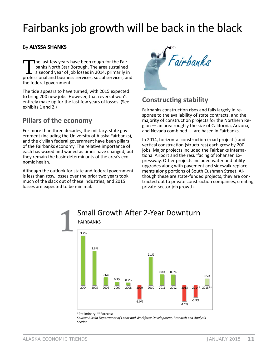# Fairbanks job growth will be back in the black

#### By ALYSSA SHANKS

The last few years have been rough for the Fairbanks North Star Borough. The area sustained a second year of job losses in 2014, primarily in professional and business services, social services, and the federal government.

The tide appears to have turned, with 2015 expected to bring 200 new jobs. However, that reversal won't entirely make up for the last few years of losses. (See exhibits 1 and 2.)

#### **Pillars of the economy**

For more than three decades, the military, state government (including the University of Alaska Fairbanks), and the civilian federal government have been pillars of the Fairbanks economy. The relative importance of each has waxed and waned as times have changed, but they remain the basic determinants of the area's economic health.

Although the outlook for state and federal government is less than rosy, losses over the prior two years took much of the slack out of these industries, and 2015 losses are expected to be minimal.



#### **Constructing stability**

Fairbanks construction rises and falls largely in response to the availability of state contracts, and the majority of construction projects for the Northern Region - an area roughly the size of California, Arizona, and Nevada combined - are based in Fairbanks.

In 2014, horizontal construction (road projects) and vertical construction (structures) each grew by 200 jobs. Major projects included the Fairbanks International Airport and the resurfacing of Johansen Expressway. Other projects included water and utility upgrades along with pavement and sidewalk replacements along portions of South Cushman Street. Although these are state-funded projects, they are contracted out to private construction companies, creating private-sector job growth.



<sup>\*</sup>Preliminary \*\*Forecast Source: Alaska Department of Labor and Workforce Development, Research and Analysis Section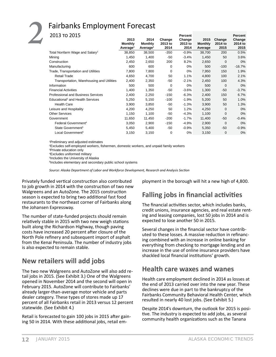#### **Fairbanks Employment Forecast**

|                      |                      |                | Percent         |                 |                           | Percent         |
|----------------------|----------------------|----------------|-----------------|-----------------|---------------------------|-----------------|
| 2013                 | 2014                 | Change         | Change          | 2015            | Change                    | Change          |
|                      |                      |                |                 |                 |                           | 2014 to         |
| Average <sup>1</sup> | Average <sup>1</sup> |                |                 |                 |                           | 2015            |
| 38,850               | 38,500               | $-350$         | $-0.9%$         | 38,700          | 200                       | 0.5%            |
| 1,450                | 1,400                | -50            | $-3.4%$         | 1,450           | 50                        | 3.6%            |
| 2,450                | 2,650                | 200            | 8.2%            | 2,650           | $\mathbf 0$               | $0\%$           |
| 600                  | 600                  | 0              | 0%              | 500             | $-100$                    | $-16.7%$        |
| 7,800                | 7,800                | 0              | 0%              | 7,950           | 150                       | 1.9%            |
| 4,650                | 4,700                | 50             | 1.1%            | 4,800           | 100                       | 2.1%            |
| 2,400                | 2,350                | -50            | $-2.1%$         | 2,450           | 100                       | 4.3%            |
| 500                  | 500                  | $\mathbf 0$    | 0%              | 500             | $\mathbf 0$               | $0\%$           |
| 1,400                | 1,350                | -50            | $-3.6%$         | 1,300           | -50                       | $-3.7%$         |
| 2,400                | 2,250                | $-150$         | $-6.3%$         | 2,400           | 150                       | 6.7%            |
| 5,250                | 5,150                | $-100$         | $-1.9%$         | 5,200           | 50                        | 1.0%            |
| 3,900                | 3,850                | -50            | $-1.3%$         | 3,900           | 50                        | 1.3%            |
| 4,200                | 4,250                | 50             | 1.2%            | 4,250           | 0                         | $0\%$           |
| 1,150                | 1,100                | -50            | $-4.3%$         | 1,100           | 0                         | $0\%$           |
| 11,650               | 11,450               | $-200$         | $-1.7%$         | 11,400          | -50                       | $-0.4%$         |
| 3,050                | 2,900                | $-150$         | $-4.9%$         | 2,900           | 0                         | $0\%$           |
| 5,450                | 5,400                | -50            | $-0.9%$         | 5,350           | -50                       | $-0.9%$         |
| 3,150                | 3,150                | 0              | 0%              | 3,150           | 0                         | $0\%$           |
|                      | <b>Monthly</b>       | <b>Monthly</b> | 2013 to<br>2014 | 2013 to<br>2014 | <b>Monthly</b><br>Average | 2014 to<br>2015 |

1 Preliminary and adjusted estimates

<sup>2</sup>Excludes self-employed workers, fishermen, domestic workers, and unpaid family workers

3 Private education only

4 Excludes uniformed military

5 Includes the University of Alaska

6 Includes elementary and secondary public school systems

*Source: Alaska Department of Labor and Workforce Development, Research and Analysis SecƟ on*

Privately funded vertical construction also contributed to job growth in 2014 with the construction of two new Walgreens and an AutoZone. The 2015 construction season is expected to bring two additional fast food restaurants to the northeast corner of Fairbanks along the Johansen Expressway.

The number of state-funded projects should remain relatively stable in 2015 with two new weigh stations built along the Richardson Highway, though paving costs have increased 20 percent after closure of the North Pole refinery and subsequent import of asphalt from the Kenai Peninsula. The number of industry jobs is also expected to remain stable.

#### **New retailers will add jobs**

The two new Walgreens and AutoZone will also add retail jobs in 2015. (See Exhibit 3.) One of the Walgreens opened in November 2014 and the second will open in February 2015. AutoZone will contribute to Fairbanks' already larger-than-average motor vehicle and parts dealer category. These types of stores made up 17 percent of all Fairbanks retail in 2013 versus 12 percent statewide. (See Exhibit 4.)

Retail is forecasted to gain 100 jobs in 2015 after gaining 50 in 2014. With these additional jobs, retail employment in the borough will hit a new high of 4,800.

#### **Falling jobs in financial activities**

The financial activities sector, which includes banks, credit unions, insurance agencies, and real estate renting and leasing companies, lost 50 jobs in 2014 and is expected to lose another 50 in 2015.

Several changes in the financial sector have contributed to these losses. A massive reduction in refinancing combined with an increase in online banking for everything from checking to mortgage lending and an increase in the use of online insurance providers have shackled local financial institutions' growth.

#### **Health care waxes and wanes**

Health care employment declined in 2014 as losses at the end of 2013 carried over into the new year. These declines were due in part to the bankruptcy of the Fairbanks Community Behavioral Health Center, which resulted in nearly 40 lost jobs. (See Exhibit 5.)

Despite 2014's downturn, the outlook for 2015 is posi-Ɵ ve. The industry is expected to add jobs, as several community health organizations such as the Tanana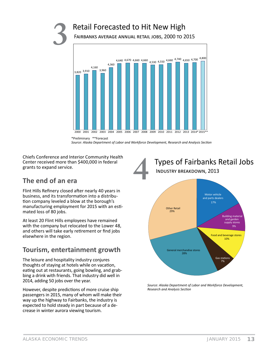#### Retail Forecasted to Hit New High

FAIRBANKS AVERAGE ANNUAL RETAIL JOBS, 2000 TO 2015



<sup>\*</sup>Preliminary \*\*Forecast Source: Alaska Department of Labor and Workforce Development, Research and Analysis Section

Chiefs Conference and Interior Community Health Center received more than \$400,000 in federal grants to expand service.



#### The end of an era

Flint Hills Refinery closed after nearly 40 years in business, and its transformation into a distribution company leveled a blow at the borough's manufacturing employment for 2015 with an estimated loss of 80 jobs.

At least 20 Flint Hills employees have remained with the company but relocated to the Lower 48, and others will take early retirement or find jobs elsewhere in the region.

#### Tourism, entertainment growth

The leisure and hospitality industry conjures thoughts of staying at hotels while on vacation, eating out at restaurants, going bowling, and grabbing a drink with friends. That industry did well in 2014, adding 50 jobs over the year.

However, despite predictions of more cruise ship passengers in 2015, many of whom will make their way up the highway to Fairbanks, the industry is expected to hold steady in part because of a decrease in winter aurora viewing tourism.



Source: Alaska Department of Labor and Workforce Development, **Research and Analysis Section**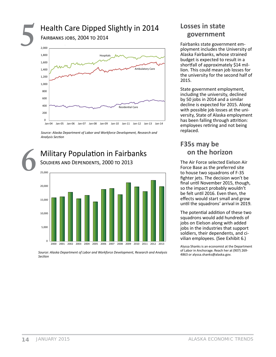#### Health Care Dipped Slightly in 2014 **FAIRBANKS JOBS, 2004 TO 2014** 2,000 1.800 **Hospitals** 1.600 -<br>Ambulatory Care 1,400



Source: Alaska Department of Labor and Workforce Development, Research and Analysis Section



Source: Alaska Department of Labor and Workforce Development, Research and Analysis Section

#### Losses in state government

Fairbanks state government employment includes the University of Alaska Fairbanks, whose strained budget is expected to result in a shortfall of approximately \$14 million. This could mean job losses for the university for the second half of 2015.

State government employment, including the university, declined by 50 jobs in 2014 and a similar decline is expected for 2015. Along with possible job losses at the university, State of Alaska employment has been falling through attrition: employees retiring and not being replaced.

#### F35s may be on the horizon

The Air Force selected Eielson Air Force Base as the preferred site to house two squadrons of F-35 fighter jets. The decision won't be final until November 2015, though, so the impact probably wouldn't be felt until 2016. Even then, the effects would start small and grow until the squadrons' arrival in 2019.

The potential addition of these two squadrons would add hundreds of jobs on Eielson along with added jobs in the industries that support soldiers, their dependents, and civilian employees. (See Exhibit 6.)

Alyssa Shanks is an economist at the Department of Labor in Anchorage. Reach her at (907) 269-4863 or alyssa.shanks@alaska.gov.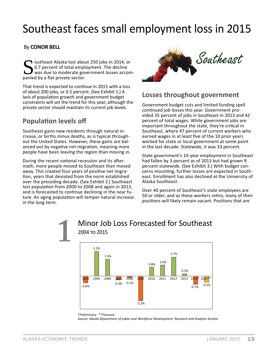# Southeast faces small employment loss in 2015

#### By **CONOR BELL**

outheast Alaska lost about 250 jobs in 2014, or 0.7 percent of total employment. The decline was due to moderate government losses accompanied by a flat private sector.

That trend is expected to continue in 2015 with a loss of about 200 jobs, or 0.5 percent. (See Exhibit 1.) A lack of population growth and government budget constraints will set the trend for this year, although the private sector should maintain its current job levels.

#### **Population levels off**

Southeast gains new residents through natural increase, or births minus deaths, as is typical throughout the United States. However, these gains are balanced out by negative net migration, meaning more people have been leaving the region than moving in.

During the recent national recession and its aftermath, more people moved to Southeast than moved away. This created four years of positive net migration, years that deviated from the norm established over the preceding decade. (See Exhibit 2.) Southeast lost population from 2000 to 2008 and again in 2013, and is forecasted to continue declining in the near future. An aging population will temper natural increase in the long term.

2004 то 2015



#### **Losses throughout government**

Government budget cuts and limited funding spell continued job losses this year. Government provided 35 percent of jobs in Southeast in 2013 and 42 percent of total wages. While government jobs are important throughout the state, they're critical in Southeast, where 47 percent of current workers who earned wages in at least five of the 10 prior years worked for state or local government at some point in the last decade. Statewide, it was 33 percent.

State government's 10-year employment in Southeast had fallen by 3 percent as of 2013 but had grown 9 percent statewide. (See Exhibit 3.) With budget concerns mounting, further losses are expected in Southeast. Enrollment has also declined at the University of Alaska Southeast.

Over 40 percent of Southeast's state employees are 50 or older, and as these workers retire, many of their positions will likely remain vacant. Positions that are



**1** Minor Job Loss Forecasted for Southeast

#### \*Preliminary \*\*Forecast *Source: Alaska Department of Labor and Workforce Development, Research and Analysis SecƟ on*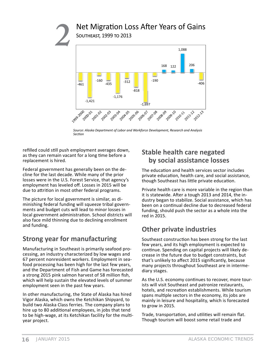#### Net Migration Loss After Years of Gains **SOUTHEAST, 1999 TO 2013**



Source: Alaska Department of Labor and Workforce Development, Research and Analysis Section

refilled could still push employment averages down, as they can remain vacant for a long time before a replacement is hired.

Federal government has generally been on the decline for the last decade. While many of the prior losses were in the U.S. Forest Service, that agency's employment has leveled off. Losses in 2015 will be due to attrition in most other federal programs.

The picture for local government is similar, as diminishing federal funding will squeeze tribal governments and budget cuts will lead to minor losses in local government administration. School districts will also face mild thinning due to declining enrollment and funding.

#### **Strong year for manufacturing**

Manufacturing in Southeast is primarily seafood processing, an industry characterized by low wages and 67 percent nonresident workers. Employment in seafood processing has been high for the last few years, and the Department of Fish and Game has forecasted a strong 2015 pink salmon harvest of 58 million fish, which will help sustain the elevated levels of summer employment seen in the past few years.

In other manufacturing, the State of Alaska has hired Vigor Alaska, which owns the Ketchikan Shipyard, to build two Alaska Class ferries. The company plans to hire up to 80 additional employees, in jobs that tend to be high-wage, at its Ketchikan facility for the multiyear project.

#### **Stable health care negated** by social assistance losses

The education and health services sector includes private education, health care, and social assistance, though Southeast has little private education.

Private health care is more variable in the region than it is statewide. After a tough 2013 and 2014, the industry began to stabilize. Social assistance, which has been on a continual decline due to decreased federal funding, should push the sector as a whole into the red in 2015.

#### **Other private industries**

Southeast construction has been strong for the last few years, and its high employment is expected to continue. Spending on capital projects will likely decrease in the future due to budget constraints, but that's unlikely to affect 2015 significantly, because many projects throughout Southeast are in intermediary stages.

As the U.S. economy continues to recover, more tourists will visit Southeast and patronize restaurants, hotels, and recreation establishments. While tourism spans multiple sectors in the economy, its jobs are mainly in leisure and hospitality, which is forecasted to grow in 2015.

Trade, transportation, and utilities will remain flat. Though tourism will boost some retail trade and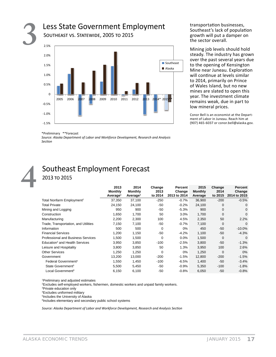

transportation businesses, Southeast's lack of population growth will put a damper on the sector overall.

Mining job levels should hold steady. The industry has grown over the past several years due to the opening of Kensington Mine near Juneau. Exploration will continue at levels similar to 2014, primarily on Prince of Wales Island, but no new mines are slated to open this year. The investment climate remains weak, due in part to low mineral prices.

Conor Bell is an economist at the Department of Labor in Juneau. Reach him at (907) 465-6037 or conor.bell@alaska.gov.

\*Preliminary \*\*Forecast

Source: Alaska Department of Labor and Workforce Development, Research and Analysis Section

#### Southeast Employment Forecast 2013 то 2015

|                                            | 2013<br><b>Monthly</b><br>Average <sup>1</sup> | 2014<br><b>Monthly</b><br>Average <sup>1</sup> | Change<br>2013<br>to 2014 | Percent<br>Change<br>2013 to 2014 | 2015<br><b>Monthly</b><br>Average | Change<br>2014<br>to 2015 | Percent<br>Change<br>2014 to 2015 |
|--------------------------------------------|------------------------------------------------|------------------------------------------------|---------------------------|-----------------------------------|-----------------------------------|---------------------------|-----------------------------------|
| Total Nonfarm Employment <sup>2</sup>      | 37,350                                         | 37,100                                         | $-250$                    | $-0.7%$                           | 36,900                            | $-200$                    | $-0.5%$                           |
| <b>Total Private</b>                       | 24,150                                         | 24,100                                         | -50                       | $-0.2%$                           | 24,100                            | $\mathbf 0$               | 0                                 |
| Mining and Logging                         | 950                                            | 900                                            | -50                       | $-5.3%$                           | 900                               | $\Omega$                  | 0                                 |
| Construction                               | 1,650                                          | 1,700                                          | 50                        | 3.0%                              | 1,700                             | $\Omega$                  | $\Omega$                          |
| Manufacturing                              | 2,200                                          | 2,300                                          | 100                       | 4.5%                              | 2,350                             | 50                        | 2.2%                              |
| Trade, Transportation, and Utilities       | 7,150                                          | 7,100                                          | -50                       | $-0.7%$                           | 7,100                             | $\Omega$                  | $\Omega$                          |
| Information                                | 500                                            | 500                                            | $\Omega$                  | $0\%$                             | 450                               | -50                       | $-10.0\%$                         |
| <b>Financial Services</b>                  | 1,200                                          | 1,150                                          | -50                       | $-4.2%$                           | 1,100                             | -50                       | $-4.3%$                           |
| <b>Professional and Business Services</b>  | 1.500                                          | 1,500                                          | $\Omega$                  | 0.0%                              | 1,500                             | $\Omega$                  | $\Omega$                          |
| Education <sup>3</sup> and Health Services | 3.950                                          | 3.850                                          | $-100$                    | $-2.5%$                           | 3,800                             | -50                       | $-1.3%$                           |
| Leisure and Hospitality                    | 3,800                                          | 3,850                                          | 50                        | 1.3%                              | 3,950                             | 100                       | 2.6%                              |
| <b>Other Services</b>                      | 1,250                                          | 1,250                                          | $\Omega$                  | 0%                                | 1,250                             | $\Omega$                  | $0\%$                             |
| Government                                 | 13,200                                         | 13,000                                         | $-200$                    | $-1.5%$                           | 12,800                            | $-200$                    | $-1.5%$                           |
| Federal Government <sup>4</sup>            | 1,550                                          | 1,450                                          | $-100$                    | $-6.5%$                           | 1,400                             | -50                       | $-3.4%$                           |
| State Government <sup>5</sup>              | 5,500                                          | 5,450                                          | -50                       | $-0.9%$                           | 5,350                             | $-100$                    | $-1.8%$                           |
| Local Government <sup>6</sup>              | 6,150                                          | 6,100                                          | -50                       | $-0.8%$                           | 6,050                             | -50                       | $-0.8%$                           |

<sup>1</sup>Preliminary and adjusted estimates

<sup>2</sup>Excludes self-employed workers, fishermen, domestic workers and unpaid family workers.

<sup>3</sup>Private education only

<sup>4</sup>Excludes uniformed military

<sup>5</sup>Includes the University of Alaska

<sup>6</sup>Includes elementary and secondary public school systems

Source: Alaska Department of Labor and Workforce Development, Research and Analysis Section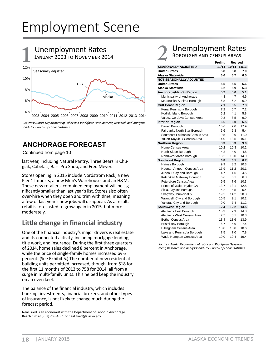# Employment Scene

# **Unemployment Rates**<br>**JANUARY 2003 TO NOVEMBER 2014**



*Sources: Alaska Department of Labor and Workforce Development, Research and Analysis;*  and U.S. Bureau of Labor Statistics

#### **ANCHORAGE FORECAST**

Continued from page 10

last year, including Natural Pantry, Three Bears in Chugiak, Cabela's, Bass Pro Shop, and Fred Meyer.

Stores opening in 2015 include Nordstrom Rack, a new Pier 1 Imports, a new Men's Warehouse, and an H&M. These new retailers' combined employment will be significantly smaller than last year's list. Stores also often over-hire when they open and trim with time, meaning a few of last year's new jobs will disappear. As a result, retail is forecasted to grow again in 2015, but more moderately.

#### **Little change in financial industry**

One of the financial industry's major drivers is real estate and its connected activity, including mortgage lending, title work, and insurance. During the first three quarters of 2014, home sales declined 8 percent in Anchorage, while the price of single-family homes increased by 6 percent. (See Exhibit 5.) The number of new residential building units permitted increased, though, from 518 for the first 11 months of 2013 to 758 for 2014, all from a surge in multi-family units. This helped keep the industry on an even keel.

The balance of the financial industry, which includes banking, investments, financial brokers, and other types of insurance, is not likely to change much during the forecast period.

Neal Fried is an economist with the Department of Labor in Anchorage. Reach him at (907) 269-4861 or neal.fried@alaska.gov.

# 2 Unemployment Rates

|                                 | Prelim. | <b>Revised</b> |       |
|---------------------------------|---------|----------------|-------|
| <b>SEASONALLY ADJUSTED</b>      | 11/14   | 10/14          | 11/13 |
| <b>United States</b>            | 5.8     | 5.8            | 7.0   |
| Alaska Statewide                | 6.6     | 6.7            | 6.5   |
| <b>NOT SEASONALLY ADJUSTED</b>  |         |                |       |
| <b>United States</b>            | 5.5     | 5.5            | 6.6   |
| Alaska Statewide                | 6.2     | 5.9            | 6.3   |
| Anchorage/Mat-Su Region         | 5.2     | 5.0            | 5.1   |
| Municipality of Anchorage       | 4.8     | 4.7            | 4.6   |
| Matanuska-Susitna Borough       | 6.8     | 6.2            | 6.9   |
| <b>Gulf Coast Region</b>        | 7.1     | 6.5            | 7.3   |
| Kenai Peninsula Borough         | 7.2     | 6.7            | 7.2   |
| Kodiak Island Borough           | 5.2     | 4.1            | 5.8   |
| Valdez-Cordova Census Area      | 9.3     | 8.5            | 9.9   |
| <b>Interior Region</b>          | 6.5     | 6.0            | 6.5   |
| Denali Borough                  | 15.6    | 7.0            | 17.9  |
| Fairbanks North Star Borough    | 5.6     | 5.3            | 5.4   |
| Southeast Fairbanks Census Area | 10.5    | 9.9            | 11.0  |
| Yukon-Koyukuk Census Area       | 14.0    | 13.5           | 15.1  |
| <b>Northern Region</b>          | 8.3     | 8.3            | 9.0   |
| Nome Census Area                | 10.2    | 10.3           | 10.2  |
| North Slope Borough             | 4.2     | 4.0            | 4.8   |
| Northwest Arctic Borough        | 13.2    | 13.0           | 14.9  |
| <b>Southeast Region</b>         | 6.8     | 6.1            | 6.7   |
| Haines Borough                  | 9.9     | 8.2            | 10.3  |
| Hoonah-Angoon Census Area       | 17.9    | 11.2           | 20.1  |
| Juneau, City and Borough        | 4.7     | 4.5            | 4.5   |
| Ketchikan Gateway Borough       | 6.6     | 6.1            | 6.3   |
| Petersburg Census Area          | 9.5     | 7.6            | 10.3  |
| Prince of Wales-Hyder CA        | 13.7    | 13.1           | 12.8  |
| Sitka, City and Borough         | 5.2     | 4.5            | 5.4   |
| Skagway, Municipality           | 19.2    | 14.2           | 20.8  |
| Wrangell, City and Borough      | 10.5    | 9.1            | 10.2  |
| Yakutat, City and Borough       | 9.0     | 7.4            | 11.2  |
| <b>Southwest Region</b>         | 12.4    | 12.2           | 13.5  |
| Aleutians East Borough          | 10.3    | 7.9            | 14.8  |
| Aleutians West Census Area      | 7.7     | 8.1            | 10.8  |
| <b>Bethel Census Area</b>       | 13.4    | 13.6           | 13.9  |
| <b>Bristol Bay Borough</b>      | 6.7     | 5.9            | 7.4   |
| Dillingham Census Area          | 10.0    | 10.0           | 10.6  |
| Lake and Peninsula Borough      | 7.5     | 7.0            | 7.8   |
| Wade Hampton Census Area        | 19.0    | 19.4           | 19.4  |

*Sources: Alaska Department of Labor and Workforce Development, Research and Analysis; and U.S. Bureau of Labor Statistics*